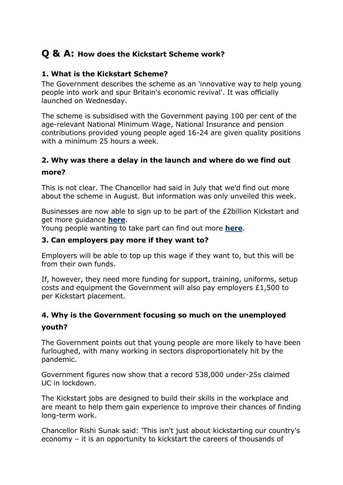# **Q & A: How does the Kickstart Scheme work?**

#### **1. What is the Kickstart Scheme?**

The Government describes the scheme as an 'innovative way to help young people into work and spur Britain's economic revival'. It was officially launched on Wednesday.

The scheme is subsidised with the Government paying 100 per cent of the age-relevant National Minimum Wage, National Insurance and pension contributions provided young people aged 16-24 are given quality positions with a minimum 25 hours a week.

## **2. Why was there a delay in the launch and where do we find out more?**

This is not clear. The Chancellor had said in July that we'd find out more about the scheme in August. But information was only unveiled this week.

Businesses are now able to sign up to be part of the £2billion Kickstart and get more guidance **[here](https://www.gov.uk/kickstart)**.

Young people wanting to take part can find out more **[here](https://jobhelp.campaign.gov.uk/kickstart/)**.

#### **3. Can employers pay more if they want to?**

Employers will be able to top up this wage if they want to, but this will be from their own funds.

If, however, they need more funding for support, training, uniforms, setup costs and equipment the Government will also pay employers £1,500 to per Kickstart placement.

# **4. Why is the Government focusing so much on the unemployed youth?**

The Government points out that young people are more likely to have been furloughed, with many working in sectors disproportionately hit by the pandemic.

Government figures now show that a record 538,000 under-25s claimed UC in lockdown.

The Kickstart jobs are designed to build their skills in the workplace and are meant to help them gain experience to improve their chances of finding long-term work.

Chancellor Rishi Sunak said: 'This isn't just about kickstarting our country's economy – it is an opportunity to kickstart the careers of thousands of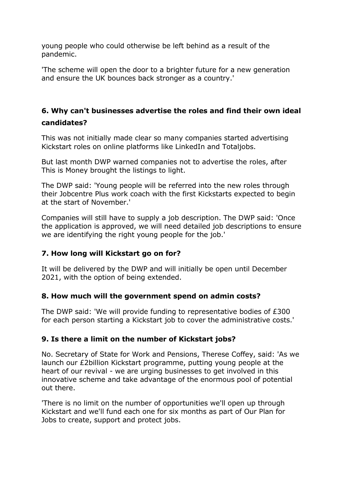young people who could otherwise be left behind as a result of the pandemic.

'The scheme will open the door to a brighter future for a new generation and ensure the UK bounces back stronger as a country.'

# **6. Why can't businesses advertise the roles and find their own ideal candidates?**

This was not initially made clear so many companies started advertising Kickstart roles on online platforms like LinkedIn and Totaljobs.

But last month DWP warned companies not to advertise the roles, after This is Money brought the listings to light.

The DWP said: 'Young people will be referred into the new roles through their Jobcentre Plus work coach with the first Kickstarts expected to begin at the start of November.'

Companies will still have to supply a job description. The DWP said: 'Once the application is approved, we will need detailed job descriptions to ensure we are identifying the right young people for the job.'

### **7. How long will Kickstart go on for?**

It will be delivered by the DWP and will initially be open until December 2021, with the option of being extended.

#### **8. How much will the government spend on admin costs?**

The DWP said: 'We will provide funding to representative bodies of £300 for each person starting a Kickstart job to cover the administrative costs.'

### **9. Is there a limit on the number of Kickstart jobs?**

No. Secretary of State for Work and Pensions, Therese Coffey, said: 'As we launch our £2billion Kickstart programme, putting young people at the heart of our revival - we are urging businesses to get involved in this innovative scheme and take advantage of the enormous pool of potential out there.

'There is no limit on the number of opportunities we'll open up through Kickstart and we'll fund each one for six months as part of Our Plan for Jobs to create, support and protect jobs.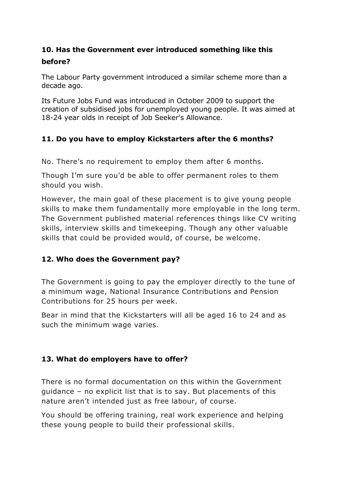# **10. Has the Government ever introduced something like this before?**

The Labour Party government introduced a similar scheme more than a decade ago.

Its Future Jobs Fund was introduced in October 2009 to support the creation of subsidised jobs for unemployed young people. It was aimed at 18-24 year olds in receipt of Job Seeker's Allowance.

# **11. Do you have to employ Kickstarters after the 6 months?**

No. There's no requirement to employ them after 6 months.

Though I'm sure you'd be able to offer permanent roles to them should you wish.

However, the main goal of these placement is to give young people skills to make them fundamentally more employable in the long term. The Government published material references things like CV writing skills, interview skills and timekeeping. Though any other valuable skills that could be provided would, of course, be welcome.

### **12. Who does the Government pay?**

The Government is going to pay the employer directly to the tune of a minimum wage, National Insurance Contributions and Pension Contributions for 25 hours per week.

Bear in mind that the Kickstarters will all be aged 16 to 24 and as such the minimum wage varies.

# **13. What do employers have to offer?**

There is no formal documentation on this within the Government guidance – no explicit list that is to say. But placements of this nature aren't intended just as free labour, of course.

You should be offering training, real work experience and helping these young people to build their professional skills.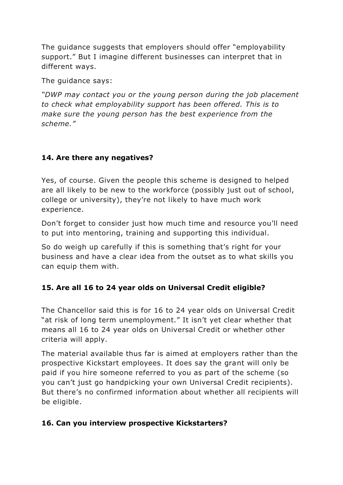The guidance suggests that employers should offer "employability support." But I imagine different businesses can interpret that in different ways.

The guidance says:

*"DWP may contact you or the young person during the job placement to check what employability support has been offered. This is to make sure the young person has the best experience from the scheme."*

# **14. Are there any negatives?**

Yes, of course. Given the people this scheme is designed to helped are all likely to be new to the workforce (possibly just out of school, college or university), they're not likely to have much work experience.

Don't forget to consider just how much time and resource you'll need to put into mentoring, training and supporting this individual.

So do weigh up carefully if this is something that's right for your business and have a clear idea from the outset as to what skills you can equip them with.

# **15. Are all 16 to 24 year olds on Universal Credit eligible?**

The Chancellor said this is for 16 to 24 year olds on Universal Credit "at risk of long term unemployment." It isn't yet clear whether that means all 16 to 24 year olds on Universal Credit or whether other criteria will apply.

The material available thus far is aimed at employers rather than the prospective Kickstart employees. It does say the grant will only be paid if you hire someone referred to you as part of the scheme (so you can't just go handpicking your own Universal Credit recipients). But there's no confirmed information about whether all recipients will be eligible.

# **16. Can you interview prospective Kickstarters?**